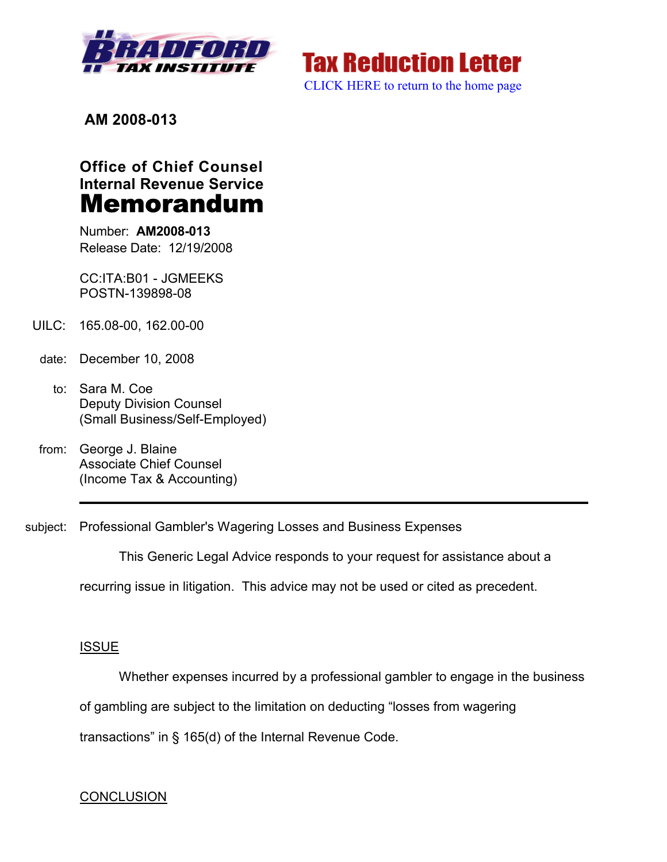

**Tax Reduction Letter** [CLICK HERE to return to the home page](www.bradfordtaxinstitute.com) 

**AM 2008-013**

# **Office of Chief Counsel Internal Revenue Service** Memorandum

Number: **AM2008-013** Release Date: 12/19/2008

CC:ITA:B01 - JGMEEKS POSTN-139898-08

- UILC: 165.08-00, 162.00-00
- date: December 10, 2008
	- to: Sara M. Coe Deputy Division Counsel (Small Business/Self-Employed)
- from: George J. Blaine Associate Chief Counsel (Income Tax & Accounting)
- subject: Professional Gambler's Wagering Losses and Business Expenses

This Generic Legal Advice responds to your request for assistance about a

recurring issue in litigation. This advice may not be used or cited as precedent.

# ISSUE

Whether expenses incurred by a professional gambler to engage in the business

of gambling are subject to the limitation on deducting "losses from wagering

transactions" in § 165(d) of the Internal Revenue Code.

# **CONCLUSION**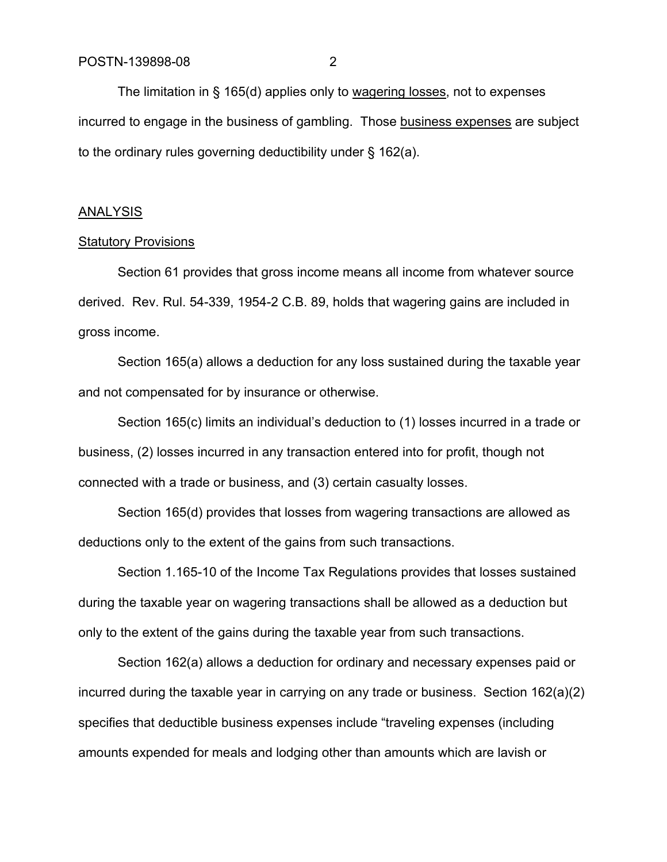The limitation in § 165(d) applies only to wagering losses, not to expenses incurred to engage in the business of gambling. Those business expenses are subject to the ordinary rules governing deductibility under § 162(a).

#### ANALYSIS

#### Statutory Provisions

Section 61 provides that gross income means all income from whatever source derived. Rev. Rul. 54-339, 1954-2 C.B. 89, holds that wagering gains are included in gross income.

Section 165(a) allows a deduction for any loss sustained during the taxable year and not compensated for by insurance or otherwise.

Section 165(c) limits an individual's deduction to (1) losses incurred in a trade or business, (2) losses incurred in any transaction entered into for profit, though not connected with a trade or business, and (3) certain casualty losses.

Section 165(d) provides that losses from wagering transactions are allowed as deductions only to the extent of the gains from such transactions.

Section 1.165-10 of the Income Tax Regulations provides that losses sustained during the taxable year on wagering transactions shall be allowed as a deduction but only to the extent of the gains during the taxable year from such transactions.

Section 162(a) allows a deduction for ordinary and necessary expenses paid or incurred during the taxable year in carrying on any trade or business. Section 162(a)(2) specifies that deductible business expenses include "traveling expenses (including amounts expended for meals and lodging other than amounts which are lavish or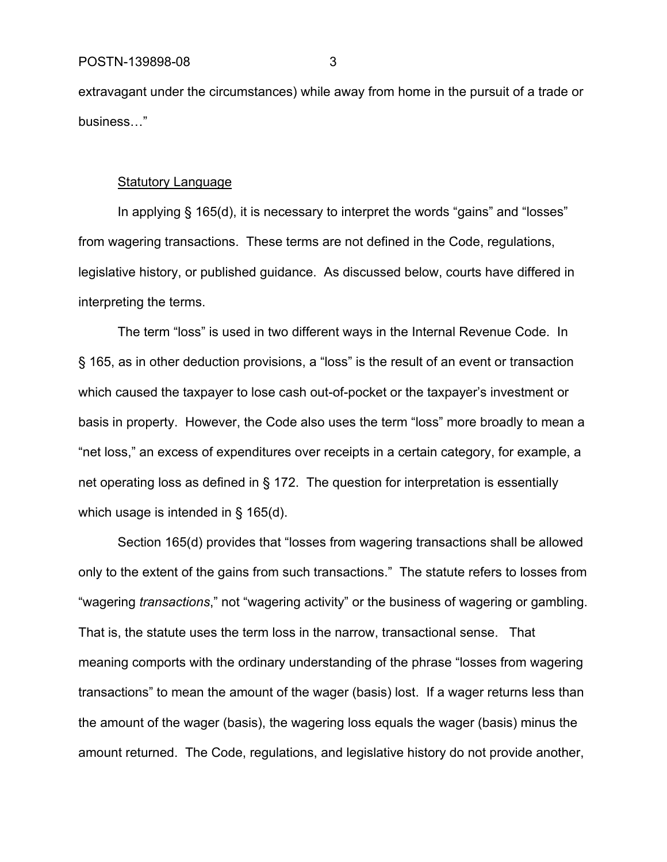extravagant under the circumstances) while away from home in the pursuit of a trade or business…"

#### Statutory Language

In applying § 165(d), it is necessary to interpret the words "gains" and "losses" from wagering transactions. These terms are not defined in the Code, regulations, legislative history, or published guidance. As discussed below, courts have differed in interpreting the terms.

The term "loss" is used in two different ways in the Internal Revenue Code. In § 165, as in other deduction provisions, a "loss" is the result of an event or transaction which caused the taxpayer to lose cash out-of-pocket or the taxpayer's investment or basis in property. However, the Code also uses the term "loss" more broadly to mean a "net loss," an excess of expenditures over receipts in a certain category, for example, a net operating loss as defined in § 172. The question for interpretation is essentially which usage is intended in § 165(d).

Section 165(d) provides that "losses from wagering transactions shall be allowed only to the extent of the gains from such transactions." The statute refers to losses from "wagering *transactions*," not "wagering activity" or the business of wagering or gambling. That is, the statute uses the term loss in the narrow, transactional sense. That meaning comports with the ordinary understanding of the phrase "losses from wagering transactions" to mean the amount of the wager (basis) lost. If a wager returns less than the amount of the wager (basis), the wagering loss equals the wager (basis) minus the amount returned. The Code, regulations, and legislative history do not provide another,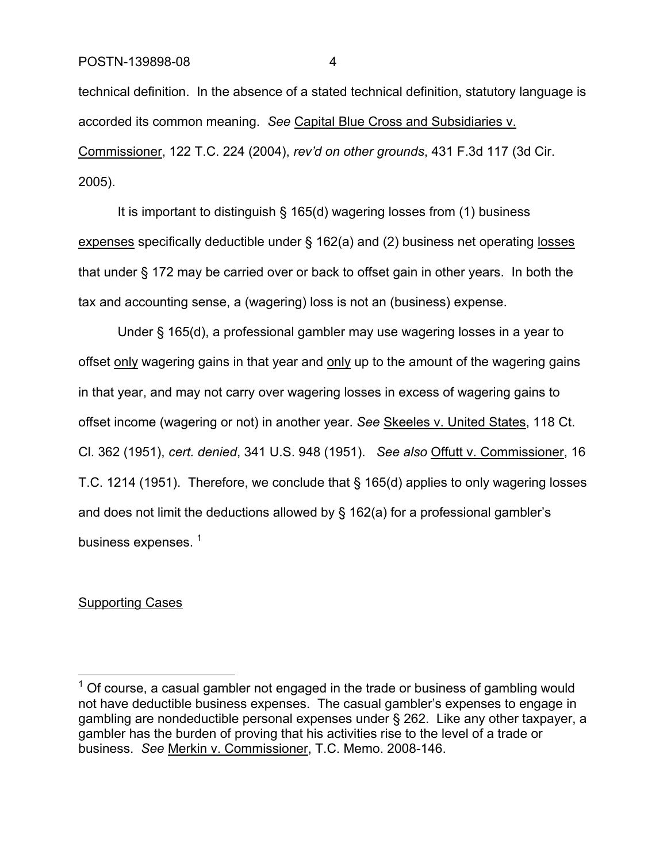technical definition. In the absence of a stated technical definition, statutory language is accorded its common meaning. *See* Capital Blue Cross and Subsidiaries v. Commissioner, 122 T.C. 224 (2004), *rev'd on other grounds*, 431 F.3d 117 (3d Cir. 2005).

It is important to distinguish § 165(d) wagering losses from (1) business expenses specifically deductible under § 162(a) and (2) business net operating losses that under § 172 may be carried over or back to offset gain in other years. In both the tax and accounting sense, a (wagering) loss is not an (business) expense.

Under § 165(d), a professional gambler may use wagering losses in a year to offset only wagering gains in that year and only up to the amount of the wagering gains in that year, and may not carry over wagering losses in excess of wagering gains to offset income (wagering or not) in another year. *See* Skeeles v. United States, 118 Ct. Cl. 362 (1951), *cert. denied*, 341 U.S. 948 (1951). *See also* Offutt v. Commissioner, 16 T.C. 1214 (1951). Therefore, we conclude that § 165(d) applies to only wagering losses and does not limit the deductions allowed by § 162(a) for a professional gambler's business expenses.<sup>1</sup>

#### Supporting Cases

 $1$  Of course, a casual gambler not engaged in the trade or business of gambling would not have deductible business expenses. The casual gambler's expenses to engage in gambling are nondeductible personal expenses under § 262. Like any other taxpayer, a gambler has the burden of proving that his activities rise to the level of a trade or business. *See* Merkin v. Commissioner, T.C. Memo. 2008-146.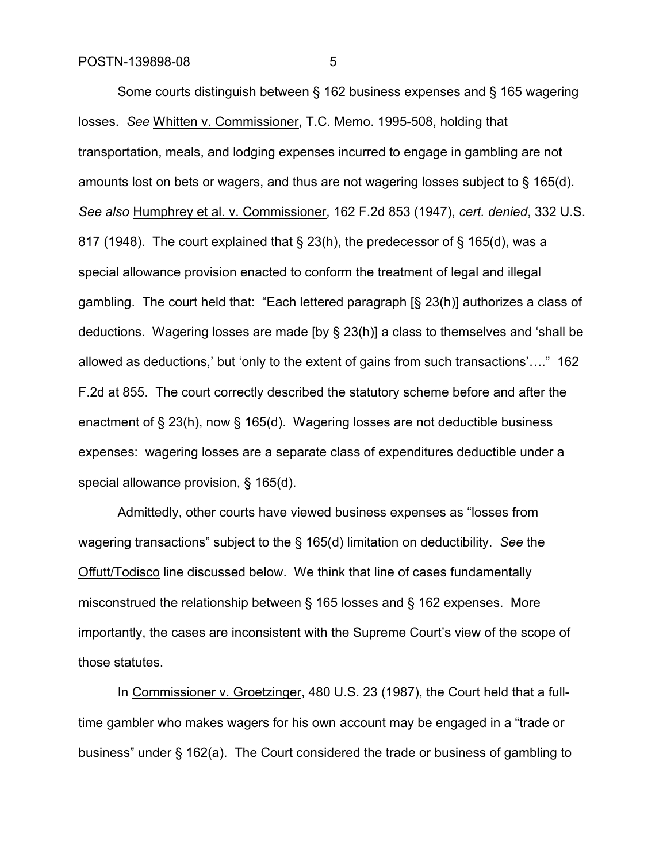Some courts distinguish between § 162 business expenses and § 165 wagering losses. *See* Whitten v. Commissioner, T.C. Memo. 1995-508, holding that transportation, meals, and lodging expenses incurred to engage in gambling are not amounts lost on bets or wagers, and thus are not wagering losses subject to § 165(d). *See also* Humphrey et al. v. Commissioner, 162 F.2d 853 (1947), *cert. denied*, 332 U.S. 817 (1948). The court explained that § 23(h), the predecessor of § 165(d), was a special allowance provision enacted to conform the treatment of legal and illegal gambling. The court held that: "Each lettered paragraph [§ 23(h)] authorizes a class of deductions. Wagering losses are made [by § 23(h)] a class to themselves and 'shall be allowed as deductions,' but 'only to the extent of gains from such transactions'…." 162 F.2d at 855. The court correctly described the statutory scheme before and after the enactment of § 23(h), now § 165(d). Wagering losses are not deductible business expenses: wagering losses are a separate class of expenditures deductible under a special allowance provision, § 165(d).

Admittedly, other courts have viewed business expenses as "losses from wagering transactions" subject to the § 165(d) limitation on deductibility. *See* the Offutt/Todisco line discussed below. We think that line of cases fundamentally misconstrued the relationship between § 165 losses and § 162 expenses. More importantly, the cases are inconsistent with the Supreme Court's view of the scope of those statutes.

In Commissioner v. Groetzinger, 480 U.S. 23 (1987), the Court held that a fulltime gambler who makes wagers for his own account may be engaged in a "trade or business" under § 162(a). The Court considered the trade or business of gambling to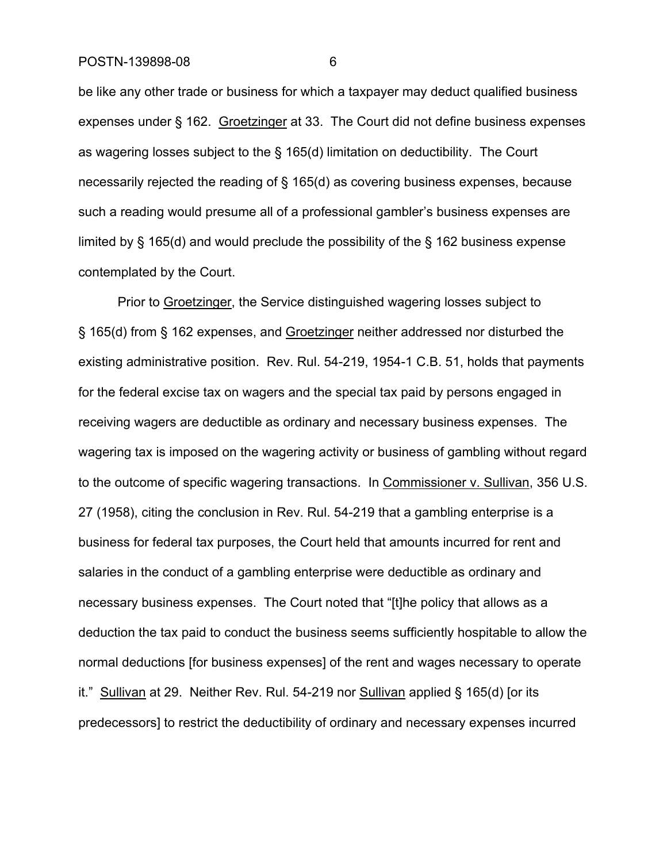be like any other trade or business for which a taxpayer may deduct qualified business expenses under § 162. Groetzinger at 33. The Court did not define business expenses as wagering losses subject to the § 165(d) limitation on deductibility. The Court necessarily rejected the reading of § 165(d) as covering business expenses, because such a reading would presume all of a professional gambler's business expenses are limited by § 165(d) and would preclude the possibility of the § 162 business expense contemplated by the Court.

Prior to Groetzinger, the Service distinguished wagering losses subject to § 165(d) from § 162 expenses, and Groetzinger neither addressed nor disturbed the existing administrative position. Rev. Rul. 54-219, 1954-1 C.B. 51, holds that payments for the federal excise tax on wagers and the special tax paid by persons engaged in receiving wagers are deductible as ordinary and necessary business expenses. The wagering tax is imposed on the wagering activity or business of gambling without regard to the outcome of specific wagering transactions. In Commissioner v. Sullivan, 356 U.S. 27 (1958), citing the conclusion in Rev. Rul. 54-219 that a gambling enterprise is a business for federal tax purposes, the Court held that amounts incurred for rent and salaries in the conduct of a gambling enterprise were deductible as ordinary and necessary business expenses. The Court noted that "[t]he policy that allows as a deduction the tax paid to conduct the business seems sufficiently hospitable to allow the normal deductions [for business expenses] of the rent and wages necessary to operate it." Sullivan at 29. Neither Rev. Rul. 54-219 nor Sullivan applied § 165(d) for its predecessors] to restrict the deductibility of ordinary and necessary expenses incurred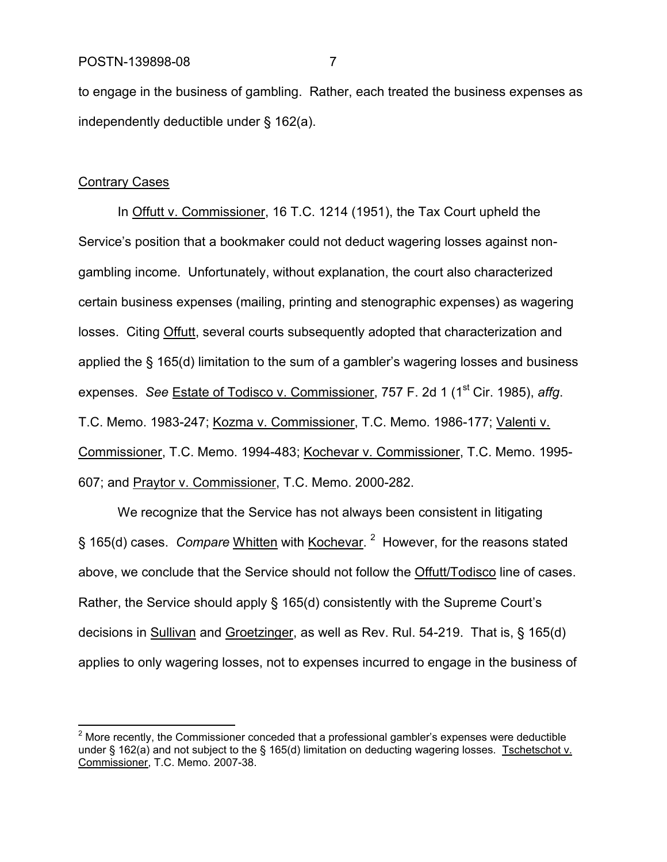to engage in the business of gambling. Rather, each treated the business expenses as independently deductible under § 162(a).

#### Contrary Cases

In Offutt v. Commissioner, 16 T.C. 1214 (1951), the Tax Court upheld the Service's position that a bookmaker could not deduct wagering losses against nongambling income. Unfortunately, without explanation, the court also characterized certain business expenses (mailing, printing and stenographic expenses) as wagering losses. Citing Offutt, several courts subsequently adopted that characterization and applied the § 165(d) limitation to the sum of a gambler's wagering losses and business expenses. *See* Estate of Todisco v. Commissioner, 757 F. 2d 1 (1<sup>st</sup> Cir. 1985), *affg.* T.C. Memo. 1983-247; Kozma v. Commissioner, T.C. Memo. 1986-177; Valenti v. Commissioner, T.C. Memo. 1994-483; Kochevar v. Commissioner, T.C. Memo. 1995- 607; and Praytor v. Commissioner, T.C. Memo. 2000-282.

We recognize that the Service has not always been consistent in litigating § 165(d) cases. *Compare* Whitten with Kochevar.<sup>2</sup> However, for the reasons stated above, we conclude that the Service should not follow the Offutt/Todisco line of cases. Rather, the Service should apply § 165(d) consistently with the Supreme Court's decisions in Sullivan and Groetzinger, as well as Rev. Rul. 54-219. That is, § 165(d) applies to only wagering losses, not to expenses incurred to engage in the business of

 $2$  More recently, the Commissioner conceded that a professional gambler's expenses were deductible under § 162(a) and not subject to the § 165(d) limitation on deducting wagering losses. Tschetschot v. Commissioner, T.C. Memo. 2007-38.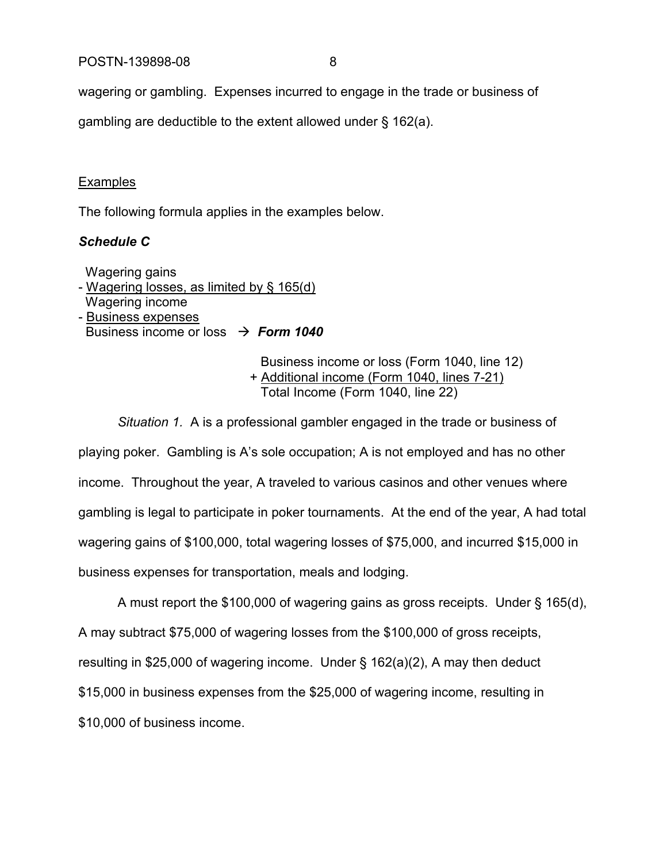wagering or gambling. Expenses incurred to engage in the trade or business of

gambling are deductible to the extent allowed under § 162(a).

### **Examples**

The following formula applies in the examples below.

# *Schedule C*

Wagering gains - Wagering losses, as limited by § 165(d) Wagering income - Business expenses Business income or loss  $\rightarrow$  **Form 1040** 

> Business income or loss (Form 1040, line 12) + Additional income (Form 1040, lines 7-21) Total Income (Form 1040, line 22)

*Situation 1.* A is a professional gambler engaged in the trade or business of playing poker. Gambling is A's sole occupation; A is not employed and has no other income. Throughout the year, A traveled to various casinos and other venues where gambling is legal to participate in poker tournaments. At the end of the year, A had total wagering gains of \$100,000, total wagering losses of \$75,000, and incurred \$15,000 in business expenses for transportation, meals and lodging.

A must report the \$100,000 of wagering gains as gross receipts. Under § 165(d), A may subtract \$75,000 of wagering losses from the \$100,000 of gross receipts, resulting in \$25,000 of wagering income. Under § 162(a)(2), A may then deduct \$15,000 in business expenses from the \$25,000 of wagering income, resulting in \$10,000 of business income.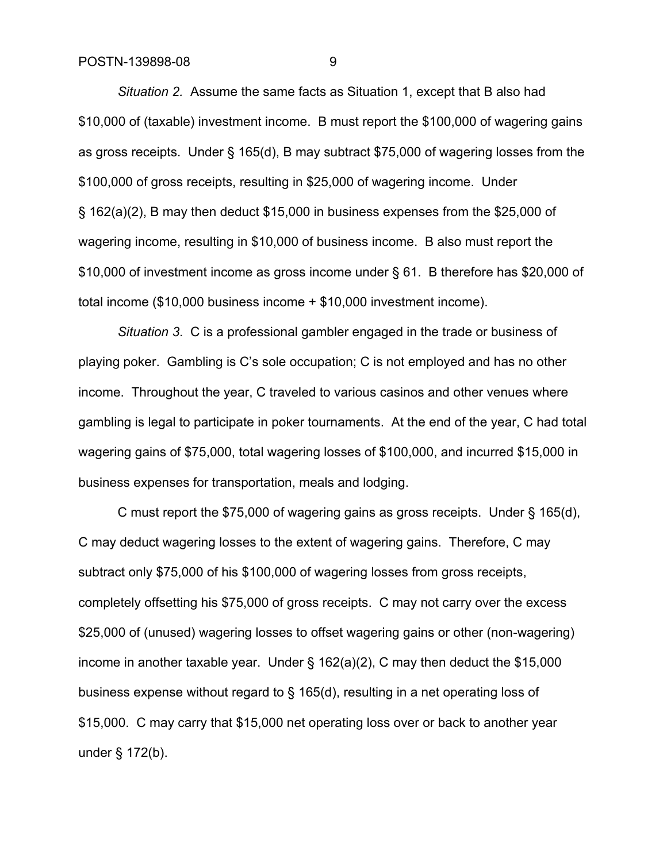*Situation 2.* Assume the same facts as Situation 1, except that B also had \$10,000 of (taxable) investment income. B must report the \$100,000 of wagering gains as gross receipts. Under § 165(d), B may subtract \$75,000 of wagering losses from the \$100,000 of gross receipts, resulting in \$25,000 of wagering income. Under § 162(a)(2), B may then deduct \$15,000 in business expenses from the \$25,000 of wagering income, resulting in \$10,000 of business income. B also must report the \$10,000 of investment income as gross income under § 61. B therefore has \$20,000 of total income (\$10,000 business income + \$10,000 investment income).

*Situation 3*. C is a professional gambler engaged in the trade or business of playing poker. Gambling is C's sole occupation; C is not employed and has no other income. Throughout the year, C traveled to various casinos and other venues where gambling is legal to participate in poker tournaments. At the end of the year, C had total wagering gains of \$75,000, total wagering losses of \$100,000, and incurred \$15,000 in business expenses for transportation, meals and lodging.

C must report the \$75,000 of wagering gains as gross receipts. Under § 165(d), C may deduct wagering losses to the extent of wagering gains. Therefore, C may subtract only \$75,000 of his \$100,000 of wagering losses from gross receipts, completely offsetting his \$75,000 of gross receipts. C may not carry over the excess \$25,000 of (unused) wagering losses to offset wagering gains or other (non-wagering) income in another taxable year. Under § 162(a)(2), C may then deduct the \$15,000 business expense without regard to § 165(d), resulting in a net operating loss of \$15,000. C may carry that \$15,000 net operating loss over or back to another year under § 172(b).